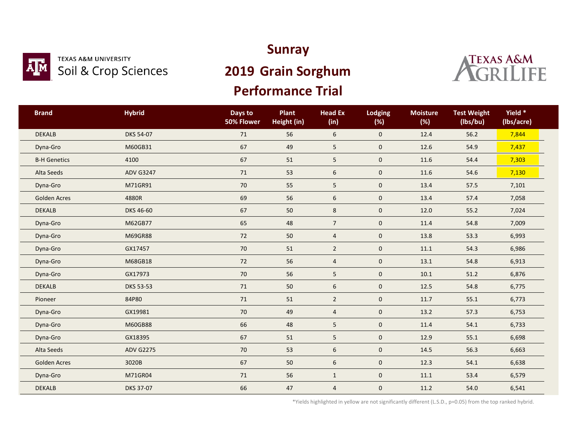

### **TEXAS A&M UNIVERSITY** Soil & Crop Sciences

### **Sunray**

## **2019 Grain Sorghum**

### **Performance Trial**



| <b>Brand</b>        | <b>Hybrid</b>    | Days to<br>50% Flower | Plant<br>Height (in) | <b>Head Ex</b><br>(in) | <b>Lodging</b><br>(%) | <b>Moisture</b><br>(%) | <b>Test Weight</b><br>(lbs/bu) | Yield *<br>(lbs/acre) |
|---------------------|------------------|-----------------------|----------------------|------------------------|-----------------------|------------------------|--------------------------------|-----------------------|
| <b>DEKALB</b>       | DKS 54-07        | $71$                  | 56                   | $\boldsymbol{6}$       | $\mathbf 0$           | 12.4                   | 56.2                           | 7,844                 |
| Dyna-Gro            | M60GB31          | 67                    | 49                   | 5                      | $\mathbf 0$           | 12.6                   | 54.9                           | 7,437                 |
| <b>B-H Genetics</b> | 4100             | 67                    | 51                   | 5                      | $\mathbf 0$           | 11.6                   | 54.4                           | 7,303                 |
| Alta Seeds          | <b>ADV G3247</b> | $71\,$                | 53                   | 6                      | $\mathbf 0$           | 11.6                   | 54.6                           | 7,130                 |
| Dyna-Gro            | M71GR91          | 70                    | 55                   | 5                      | $\mathbf 0$           | 13.4                   | 57.5                           | 7,101                 |
| <b>Golden Acres</b> | 4880R            | 69                    | 56                   | 6                      | $\mathbf 0$           | 13.4                   | 57.4                           | 7,058                 |
| <b>DEKALB</b>       | DKS 46-60        | 67                    | 50                   | $\bf 8$                | $\mathbf 0$           | 12.0                   | 55.2                           | 7,024                 |
| Dyna-Gro            | M62GB77          | 65                    | 48                   | $7\overline{ }$        | $\mathbf 0$           | 11.4                   | 54.8                           | 7,009                 |
| Dyna-Gro            | M69GR88          | 72                    | 50                   | $\overline{4}$         | $\mathbf 0$           | 13.8                   | 53.3                           | 6,993                 |
| Dyna-Gro            | GX17457          | $70\,$                | $51\,$               | $\overline{2}$         | $\mathbf 0$           | 11.1                   | 54.3                           | 6,986                 |
| Dyna-Gro            | M68GB18          | 72                    | 56                   | $\overline{4}$         | $\mathbf 0$           | 13.1                   | 54.8                           | 6,913                 |
| Dyna-Gro            | GX17973          | 70                    | 56                   | 5                      | $\mathbf 0$           | 10.1                   | 51.2                           | 6,876                 |
| <b>DEKALB</b>       | <b>DKS 53-53</b> | $71$                  | 50                   | 6                      | $\mathbf 0$           | 12.5                   | 54.8                           | 6,775                 |
| Pioneer             | 84P80            | $71$                  | 51                   | $\overline{2}$         | $\mathbf 0$           | 11.7                   | 55.1                           | 6,773                 |
| Dyna-Gro            | GX19981          | 70                    | 49                   | $\overline{4}$         | $\mathbf 0$           | 13.2                   | 57.3                           | 6,753                 |
| Dyna-Gro            | M60GB88          | 66                    | 48                   | 5                      | $\mathbf 0$           | 11.4                   | 54.1                           | 6,733                 |
| Dyna-Gro            | GX18395          | 67                    | 51                   | 5                      | $\mathsf{O}\xspace$   | 12.9                   | 55.1                           | 6,698                 |
| Alta Seeds          | <b>ADV G2275</b> | 70                    | 53                   | 6                      | $\mathbf 0$           | 14.5                   | 56.3                           | 6,663                 |
| <b>Golden Acres</b> | 3020B            | 67                    | 50                   | 6                      | $\mathbf 0$           | 12.3                   | 54.1                           | 6,638                 |
| Dyna-Gro            | M71GR04          | $71\,$                | 56                   | $\mathbf{1}$           | $\mathsf{O}\xspace$   | 11.1                   | 53.4                           | 6,579                 |
| <b>DEKALB</b>       | DKS 37-07        | 66                    | 47                   | $\overline{4}$         | $\mathbf 0$           | 11.2                   | 54.0                           | 6,541                 |

\*Yields highlighted in yellow are not significantly different (L.S.D., p=0.05) from the top ranked hybrid.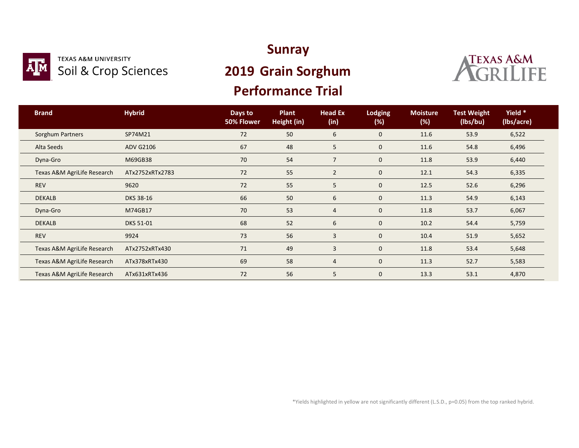

#### **TEXAS A&M UNIVERSITY** Soil & Crop Sciences

### **Sunray**

## **2019 Grain Sorghum**

### **Performance Trial**



| <b>Brand</b>                | <b>Hybrid</b>    | Days to<br>50% Flower | Plant<br>Height (in) | <b>Head Ex</b><br>(in) | <b>Lodging</b><br>$(\%)$ | <b>Moisture</b><br>(%) | <b>Test Weight</b><br>(lbs/bu) | Yield *<br>(Ibs/acre) |  |
|-----------------------------|------------------|-----------------------|----------------------|------------------------|--------------------------|------------------------|--------------------------------|-----------------------|--|
| Sorghum Partners            | SP74M21          | 72                    | 50                   | 6                      | $\mathbf 0$              | 11.6                   | 53.9                           | 6,522                 |  |
| Alta Seeds                  | <b>ADV G2106</b> | 67                    | 48                   | 5                      | 0                        | 11.6                   | 54.8                           | 6,496                 |  |
| Dyna-Gro                    | M69GB38          | 70                    | 54                   | $\overline{7}$         | $\mathbf 0$              | 11.8                   | 53.9                           | 6,440                 |  |
| Texas A&M AgriLife Research | ATx2752xRTx2783  | 72                    | 55                   | $\overline{2}$         | $\mathbf 0$              | 12.1                   | 54.3                           | 6,335                 |  |
| <b>REV</b>                  | 9620             | 72                    | 55                   | 5                      | $\mathbf 0$              | 12.5                   | 52.6                           | 6,296                 |  |
| <b>DEKALB</b>               | <b>DKS 38-16</b> | 66                    | 50                   | 6                      | $\mathbf 0$              | 11.3                   | 54.9                           | 6,143                 |  |
| Dyna-Gro                    | M74GB17          | 70                    | 53                   | $\overline{4}$         | $\mathbf 0$              | 11.8                   | 53.7                           | 6,067                 |  |
| <b>DEKALB</b>               | DKS 51-01        | 68                    | 52                   | 6                      | $\mathbf 0$              | 10.2                   | 54.4                           | 5,759                 |  |
| <b>REV</b>                  | 9924             | 73                    | 56                   | $\mathbf{3}$           | $\mathbf 0$              | 10.4                   | 51.9                           | 5,652                 |  |
| Texas A&M AgriLife Research | ATx2752xRTx430   | 71                    | 49                   | 3                      | $\mathbf 0$              | 11.8                   | 53.4                           | 5,648                 |  |
| Texas A&M AgriLife Research | ATx378xRTx430    | 69                    | 58                   | $\overline{4}$         | $\mathbf 0$              | 11.3                   | 52.7                           | 5,583                 |  |
| Texas A&M AgriLife Research | ATx631xRTx436    | 72                    | 56                   | 5                      | $\mathbf 0$              | 13.3                   | 53.1                           | 4,870                 |  |

\*Yields highlighted in yellow are not significantly different (L.S.D., p=0.05) from the top ranked hybrid.